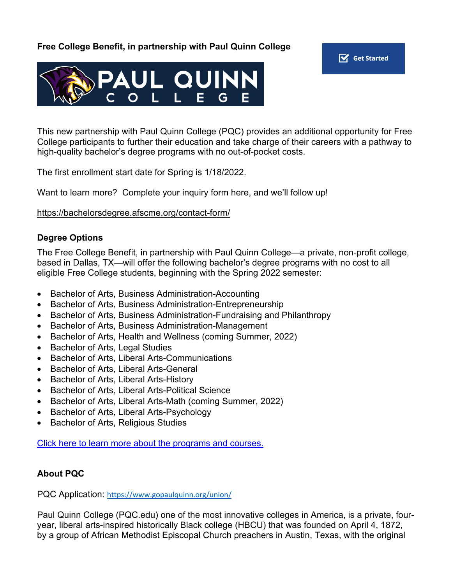### **Free College Benefit, in partnership with Paul Quinn College**





This new partnership with Paul Quinn College (PQC) provides an additional opportunity for Free College participants to further their education and take charge of their careers with a pathway to high-quality bachelor's degree programs with no out-of-pocket costs.

The first enrollment start date for Spring is 1/18/2022.

Want to learn more? Complete your inquiry form here, and we'll follow up!

https://bachelorsdegree.afscme.org/contact-form/

#### **Degree Options**

The Free College Benefit, in partnership with Paul Quinn College—a private, non-profit college, based in Dallas, TX—will offer the following bachelor's degree programs with no cost to all eligible Free College students, beginning with the Spring 2022 semester:

- Bachelor of Arts, Business Administration-Accounting
- Bachelor of Arts, Business Administration-Entrepreneurship
- Bachelor of Arts, Business Administration-Fundraising and Philanthropy
- Bachelor of Arts, Business Administration-Management
- Bachelor of Arts, Health and Wellness (coming Summer, 2022)
- Bachelor of Arts, Legal Studies
- Bachelor of Arts, Liberal Arts-Communications
- Bachelor of Arts, Liberal Arts-General
- Bachelor of Arts, Liberal Arts-History
- Bachelor of Arts, Liberal Arts-Political Science
- Bachelor of Arts, Liberal Arts-Math (coming Summer, 2022)
- Bachelor of Arts, Liberal Arts-Psychology
- Bachelor of Arts, Religious Studies

Click here to learn more about the programs and courses.

## **About PQC**

PQC Application: https://www.gopaulquinn.org/union/

Paul Quinn College (PQC.edu) one of the most innovative colleges in America, is a private, fouryear, liberal arts-inspired historically Black college (HBCU) that was founded on April 4, 1872, by a group of African Methodist Episcopal Church preachers in Austin, Texas, with the original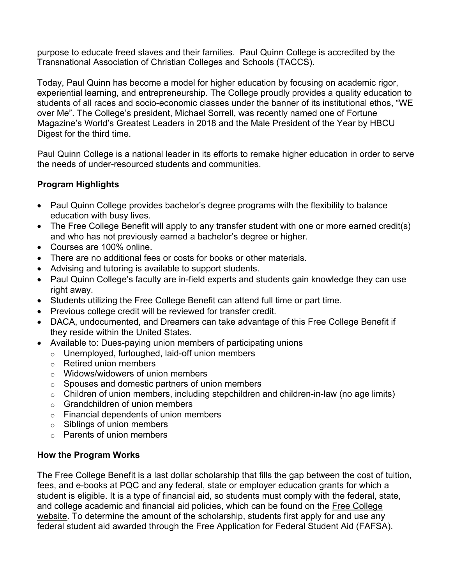purpose to educate freed slaves and their families. Paul Quinn College is accredited by the Transnational Association of Christian Colleges and Schools (TACCS).

Today, Paul Quinn has become a model for higher education by focusing on academic rigor, experiential learning, and entrepreneurship. The College proudly provides a quality education to students of all races and socio-economic classes under the banner of its institutional ethos, "WE over Me". The College's president, Michael Sorrell, was recently named one of Fortune Magazine's World's Greatest Leaders in 2018 and the Male President of the Year by HBCU Digest for the third time.

Paul Quinn College is a national leader in its efforts to remake higher education in order to serve the needs of under-resourced students and communities.

# **Program Highlights**

- Paul Quinn College provides bachelor's degree programs with the flexibility to balance education with busy lives.
- The Free College Benefit will apply to any transfer student with one or more earned credit(s) and who has not previously earned a bachelor's degree or higher.
- Courses are 100% online.
- There are no additional fees or costs for books or other materials.
- Advising and tutoring is available to support students.
- Paul Quinn College's faculty are in-field experts and students gain knowledge they can use right away.
- Students utilizing the Free College Benefit can attend full time or part time.
- Previous college credit will be reviewed for transfer credit.
- DACA, undocumented, and Dreamers can take advantage of this Free College Benefit if they reside within the United States.
- Available to: Dues-paying union members of participating unions
	- o Unemployed, furloughed, laid-off union members
	- o Retired union members
	- o Widows/widowers of union members
	- o Spouses and domestic partners of union members
	- o Children of union members, including stepchildren and children-in-law (no age limits)
	- $\circ$  Grandchildren of union members
	- o Financial dependents of union members
	- o Siblings of union members
	- $\circ$  Parents of union members

## **How the Program Works**

The Free College Benefit is a last dollar scholarship that fills the gap between the cost of tuition, fees, and e-books at PQC and any federal, state or employer education grants for which a student is eligible. It is a type of financial aid, so students must comply with the federal, state, and college academic and financial aid policies, which can be found on the Free College website. To determine the amount of the scholarship, students first apply for and use any federal student aid awarded through the Free Application for Federal Student Aid (FAFSA).